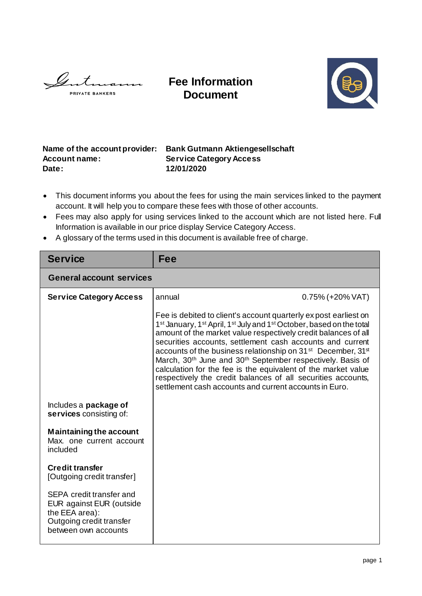Gut  $11211$ **PRIVATE BANKERS** 

**Fee Information Document**



## **Name of the account provider: Bank Gutmann Aktiengesellschaft Account name: Service Category Access Date: 12/01/2020**

- This document informs you about the fees for using the main services linked to the payment account. It will help you to compare these fees with those of other accounts.
- Fees may also apply for using services linked to the account which are not listed here. Full Information is available in our price display Service Category Access.
- A glossary of the terms used in this document is available free of charge.

| <b>Service</b>                                                                                                             | Fee                                                                                                                                                                                                                                                                                                                                                                                                                                                                                                                                                                                                                                                                                             |                     |  |  |
|----------------------------------------------------------------------------------------------------------------------------|-------------------------------------------------------------------------------------------------------------------------------------------------------------------------------------------------------------------------------------------------------------------------------------------------------------------------------------------------------------------------------------------------------------------------------------------------------------------------------------------------------------------------------------------------------------------------------------------------------------------------------------------------------------------------------------------------|---------------------|--|--|
| <b>General account services</b>                                                                                            |                                                                                                                                                                                                                                                                                                                                                                                                                                                                                                                                                                                                                                                                                                 |                     |  |  |
| <b>Service Category Access</b>                                                                                             | annual                                                                                                                                                                                                                                                                                                                                                                                                                                                                                                                                                                                                                                                                                          | $0.75\%$ (+20% VAT) |  |  |
|                                                                                                                            | Fee is debited to client's account quarterly expost earliest on<br>1 <sup>st</sup> January, 1 <sup>st</sup> April, 1 <sup>st</sup> July and 1 <sup>st</sup> October, based on the total<br>amount of the market value respectively credit balances of all<br>securities accounts, settlement cash accounts and current<br>accounts of the business relationship on 31 <sup>st</sup> December, 31 <sup>st</sup><br>March, 30 <sup>th</sup> June and 30 <sup>th</sup> September respectively. Basis of<br>calculation for the fee is the equivalent of the market value<br>respectively the credit balances of all securities accounts,<br>settlement cash accounts and current accounts in Euro. |                     |  |  |
| Includes a <b>package of</b><br>services consisting of:                                                                    |                                                                                                                                                                                                                                                                                                                                                                                                                                                                                                                                                                                                                                                                                                 |                     |  |  |
| <b>Maintaining the account</b><br>Max, one current account<br>included                                                     |                                                                                                                                                                                                                                                                                                                                                                                                                                                                                                                                                                                                                                                                                                 |                     |  |  |
| <b>Credit transfer</b><br>[Outgoing credit transfer]                                                                       |                                                                                                                                                                                                                                                                                                                                                                                                                                                                                                                                                                                                                                                                                                 |                     |  |  |
| SEPA credit transfer and<br>EUR against EUR (outside<br>the EEA area):<br>Outgoing credit transfer<br>between own accounts |                                                                                                                                                                                                                                                                                                                                                                                                                                                                                                                                                                                                                                                                                                 |                     |  |  |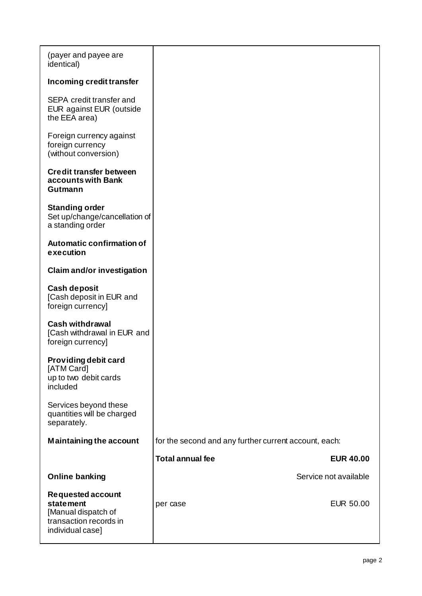| (payer and payee are<br>identical)                                                                                |                                                       |  |
|-------------------------------------------------------------------------------------------------------------------|-------------------------------------------------------|--|
| Incoming credit transfer                                                                                          |                                                       |  |
| SEPA credit transfer and<br>EUR against EUR (outside<br>the EEA area)                                             |                                                       |  |
| Foreign currency against<br>foreign currency<br>(without conversion)                                              |                                                       |  |
| <b>Credit transfer between</b><br>accounts with Bank<br>Gutmann                                                   |                                                       |  |
| <b>Standing order</b><br>Set up/change/cancellation of<br>a standing order                                        |                                                       |  |
| <b>Automatic confirmation of</b><br>execution                                                                     |                                                       |  |
| <b>Claim and/or investigation</b>                                                                                 |                                                       |  |
| <b>Cash deposit</b><br>[Cash deposit in EUR and<br>foreign currency]                                              |                                                       |  |
| <b>Cash withdrawal</b><br>[Cash withdrawal in EUR and<br>foreign currency]                                        |                                                       |  |
| Providing debit card<br>[ATM Card]<br>up to two debit cards<br>included                                           |                                                       |  |
| Services beyond these<br>quantities will be charged<br>separately.                                                |                                                       |  |
| <b>Maintaining the account</b>                                                                                    | for the second and any further current account, each: |  |
|                                                                                                                   | <b>Total annual fee</b><br><b>EUR 40.00</b>           |  |
| <b>Online banking</b>                                                                                             | Service not available                                 |  |
| <b>Requested account</b><br><b>statement</b><br>[Manual dispatch of<br>transaction records in<br>individual case] | <b>EUR 50.00</b><br>per case                          |  |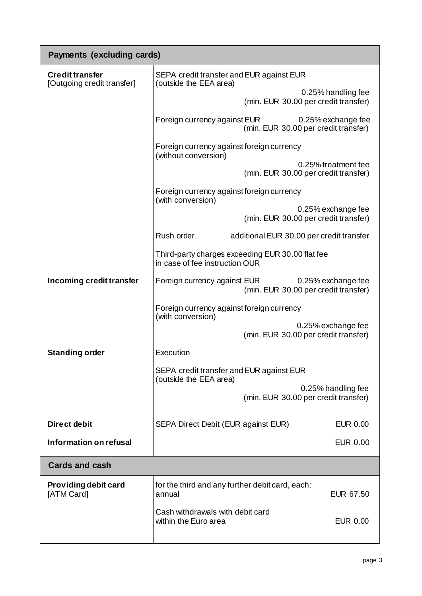| <b>Payments (excluding cards)</b>                    |                                                                                                                                                                                                                                                                                                  |  |  |
|------------------------------------------------------|--------------------------------------------------------------------------------------------------------------------------------------------------------------------------------------------------------------------------------------------------------------------------------------------------|--|--|
| <b>Credit transfer</b><br>[Outgoing credit transfer] | SEPA credit transfer and EUR against EUR<br>(outside the EEA area)                                                                                                                                                                                                                               |  |  |
|                                                      | 0.25% handling fee<br>(min. EUR 30.00 per credit transfer)                                                                                                                                                                                                                                       |  |  |
|                                                      | Foreign currency against EUR<br>0.25% exchange fee<br>(min. EUR 30.00 per credit transfer)<br>Foreign currency against foreign currency<br>(without conversion)<br>0.25% treatment fee<br>(min. EUR 30.00 per credit transfer)<br>Foreign currency against foreign currency<br>(with conversion) |  |  |
|                                                      |                                                                                                                                                                                                                                                                                                  |  |  |
|                                                      |                                                                                                                                                                                                                                                                                                  |  |  |
|                                                      |                                                                                                                                                                                                                                                                                                  |  |  |
|                                                      | 0.25% exchange fee<br>(min. EUR 30.00 per credit transfer)                                                                                                                                                                                                                                       |  |  |
|                                                      | Rush order<br>additional EUR 30.00 per credit transfer                                                                                                                                                                                                                                           |  |  |
|                                                      | Third-party charges exceeding EUR 30.00 flat fee<br>in case of fee instruction OUR                                                                                                                                                                                                               |  |  |
| Incoming credit transfer                             | Foreign currency against EUR<br>0.25% exchange fee<br>(min. EUR 30.00 per credit transfer)                                                                                                                                                                                                       |  |  |
|                                                      | Foreign currency against foreign currency<br>(with conversion)<br>0.25% exchange fee<br>(min. EUR 30.00 per credit transfer)                                                                                                                                                                     |  |  |
|                                                      |                                                                                                                                                                                                                                                                                                  |  |  |
| <b>Standing order</b>                                | Execution<br>SEPA credit transfer and EUR against EUR<br>(outside the EEA area)<br>0.25% handling fee<br>(min. EUR 30.00 per credit transfer)                                                                                                                                                    |  |  |
|                                                      |                                                                                                                                                                                                                                                                                                  |  |  |
|                                                      |                                                                                                                                                                                                                                                                                                  |  |  |
| Direct debit                                         | SEPA Direct Debit (EUR against EUR)<br><b>EUR 0.00</b>                                                                                                                                                                                                                                           |  |  |
| Information on refusal                               | <b>EUR 0.00</b>                                                                                                                                                                                                                                                                                  |  |  |
| <b>Cards and cash</b>                                |                                                                                                                                                                                                                                                                                                  |  |  |
| <b>Providing debit card</b><br>[ATM Card]            | for the third and any further debit card, each:<br>EUR 67.50<br>annual                                                                                                                                                                                                                           |  |  |
|                                                      | Cash withdrawals with debit card<br>within the Euro area<br><b>EUR 0.00</b>                                                                                                                                                                                                                      |  |  |